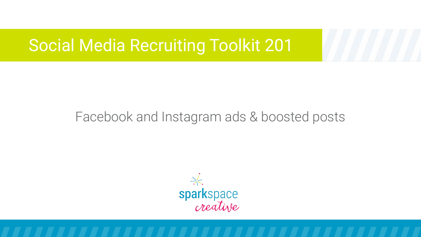## Facebook and Instagram ads & boosted posts

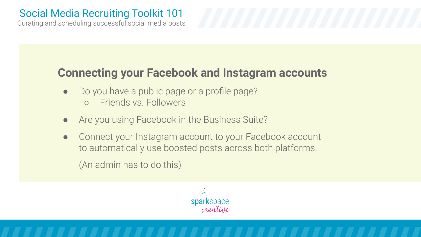Curating and scheduling successful social media posts

### **Connecting your Facebook and Instagram accounts**

- Do you have a public page or a profile page?
	- Friends vs. Followers
- Are you using Facebook in the Business Suite?
- Connect your Instagram account to your Facebook account to automatically use boosted posts across both platforms.

(An admin has to do this)

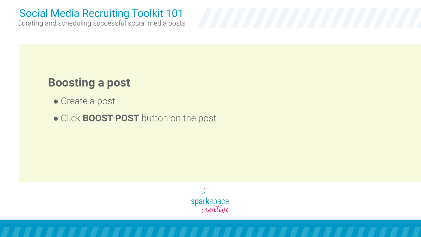Curating and scheduling successful social media posts

### **Boosting a post**

- Create a post
- Click **BOOST POST** button on the post

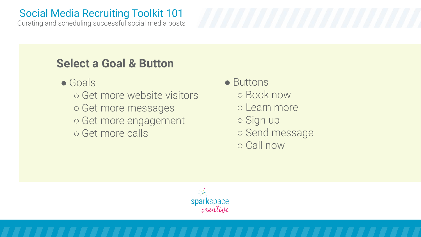Curating and scheduling successful social media posts

### **Select a Goal & Button**

- Goals
	- Get more website visitors ○ Get more messages ○ Get more engagement ○ Get more calls

● Buttons ○ Book now ○ Learn more ○ Sign up ○ Send message ○ Call now

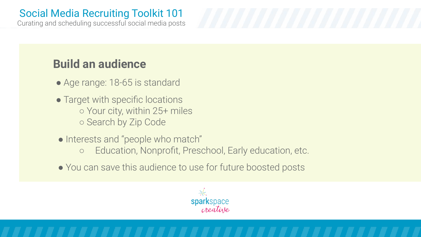Curating and scheduling successful social media posts

# **Build an audience**

- Age range: 18-65 is standard
- Target with specific locations ○ Your city, within 25+ miles ○ Search by Zip Code
- Interests and "people who match"
	- Education, Nonprofit, Preschool, Early education, etc.
- You can save this audience to use for future boosted posts

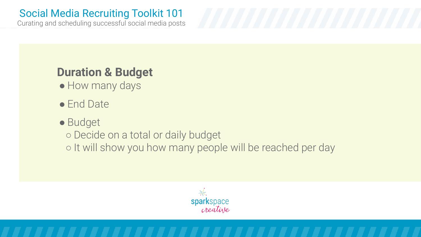Curating and scheduling successful social media posts

# **Duration & Budget**

- How many days
- End Date

### ● Budget

○ Decide on a total or daily budget

○ It will show you how many people will be reached per day

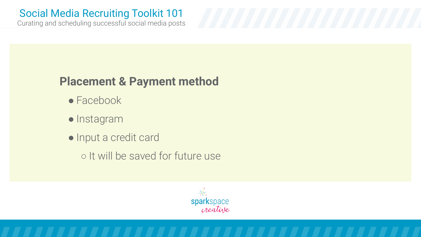Curating and scheduling successful social media posts

## **Placement & Payment method**

- $\bullet$  Facebook
- Instagram
- Input a credit card
	- It will be saved for future use